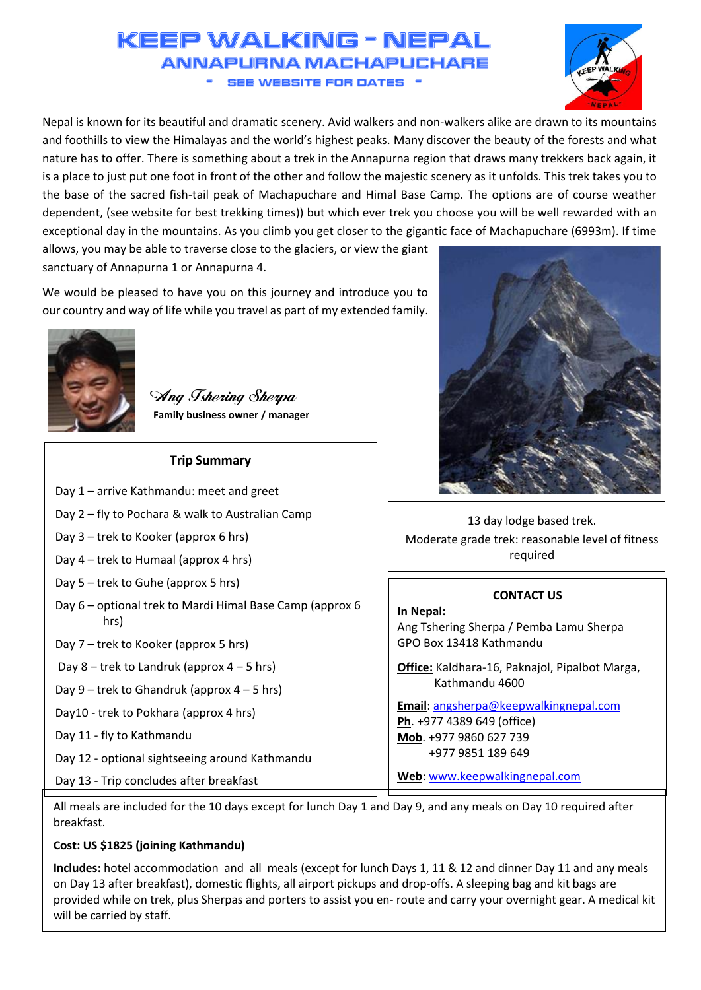# KEEP WALKING - NEPA **ANNAPLIRNA MACHAPI CHARE SEE WEBSITE FOR DATES ..**



Nepal is known for its beautiful and dramatic scenery. Avid walkers and non-walkers alike are drawn to its mountains and foothills to view the Himalayas and the world's highest peaks. Many discover the beauty of the forests and what nature has to offer. There is something about a trek in the Annapurna region that draws many trekkers back again, it is a place to just put one foot in front of the other and follow the majestic scenery as it unfolds. This trek takes you to the base of the sacred fish-tail peak of Machapuchare and Himal Base Camp. The options are of course weather dependent, (see website for best trekking times)) but which ever trek you choose you will be well rewarded with an exceptional day in the mountains. As you climb you get closer to the gigantic face of Machapuchare (6993m). If time

allows, you may be able to traverse close to the glaciers, or view the giant sanctuary of Annapurna 1 or Annapurna 4.

We would be pleased to have you on this journey and introduce you to our country and way of life while you travel as part of my extended family.



Ang Tshering Sherpa **Family business owner / manager**

| <b>Trip Summary</b>                                              |             |
|------------------------------------------------------------------|-------------|
| Day 1 - arrive Kathmandu: meet and greet                         |             |
| Day 2 – fly to Pochara & walk to Australian Camp                 |             |
| Day 3 - trek to Kooker (approx 6 hrs)                            |             |
| Day 4 – trek to Humaal (approx 4 hrs)                            |             |
| Day 5 - trek to Guhe (approx 5 hrs)                              |             |
| Day 6 - optional trek to Mardi Himal Base Camp (approx 6<br>hrs) | Ir<br>Α     |
| Day 7 - trek to Kooker (approx 5 hrs)                            | G           |
| Day 8 – trek to Landruk (approx $4 - 5$ hrs)                     | <u>ପ</u>    |
| Day $9$ – trek to Ghandruk (approx $4 - 5$ hrs)                  |             |
| Day10 - trek to Pokhara (approx 4 hrs)                           | $rac{E}{P}$ |
| Day 11 - fly to Kathmandu                                        | N           |
| Day 12 - optional sightseeing around Kathmandu                   |             |
| Day 13 - Trip concludes after breakfast                          | V           |



13 day lodge based trek. Moderate grade trek: reasonable level of fitness required

# **CONTACT US**

**In Nepal:** Ang Tshering Sherpa / Pemba Lamu Sherpa GPO Box 13418 Kathmandu

**Office:** Kaldhara-16, Paknajol, Pipalbot Marga, Kathmandu 4600

**Email**: [angsherpa@keepwalkingnepal.com](mailto:angsherpa@keepwalkingnepal.com) **Ph**. +977 4389 649 (office) **Mob**. +977 9860 627 739 +977 9851 189 649

**Web**: [www.keepwalkingnepal.com](file:///E:/Personal/Projects/Home/keepwalkingnepal/Task/TrekNote/Trek/20190130/www.keepwalkingnepal.com)

All meals are included for the 10 days except for lunch Day 1 and Day 9, and any meals on Day 10 required after breakfast.

# **Cost: US \$1825 (joining Kathmandu)**

**Includes:** hotel accommodation and all meals (except for lunch Days 1, 11 & 12 and dinner Day 11 and any meals on Day 13 after breakfast), domestic flights, all airport pickups and drop-offs. A sleeping bag and kit bags are provided while on trek, plus Sherpas and porters to assist you en- route and carry your overnight gear. A medical kit will be carried by staff.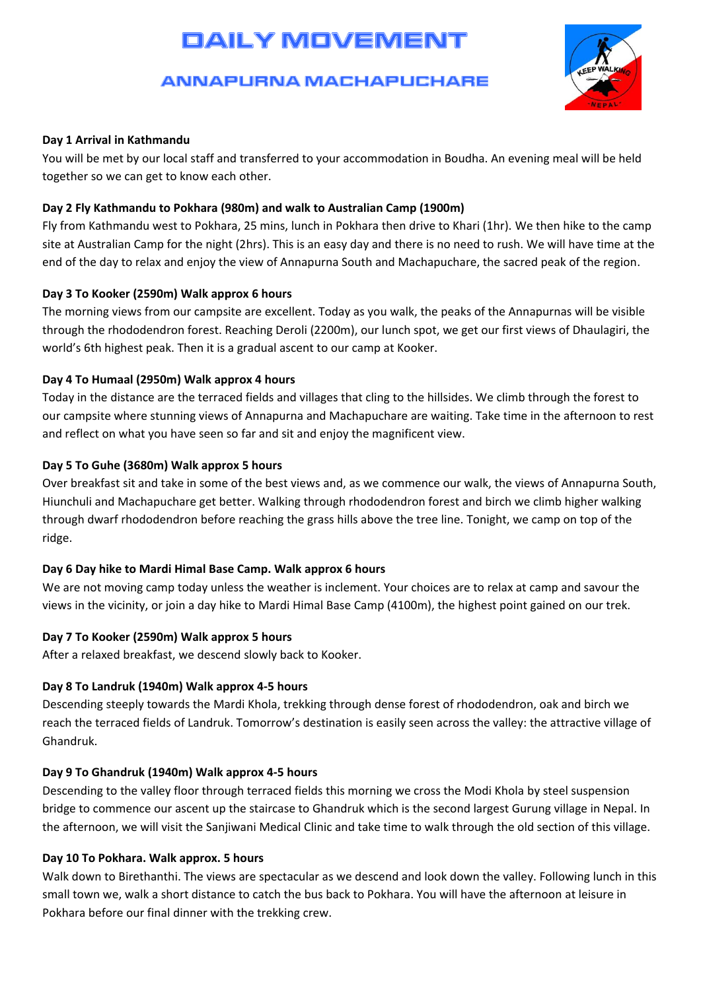# **DAILY MOVEMENT**

# **ANNAPURNA MACHAPUCHARE**



# **Day 1 Arrival in Kathmandu**

You will be met by our local staff and transferred to your accommodation in Boudha. An evening meal will be held together so we can get to know each other.

# **Day 2 Fly Kathmandu to Pokhara (980m) and walk to Australian Camp (1900m)**

Fly from Kathmandu west to Pokhara, 25 mins, lunch in Pokhara then drive to Khari (1hr). We then hike to the camp site at Australian Camp for the night (2hrs). This is an easy day and there is no need to rush. We will have time at the end of the day to relax and enjoy the view of Annapurna South and Machapuchare, the sacred peak of the region.

# **Day 3 To Kooker (2590m) Walk approx 6 hours**

The morning views from our campsite are excellent. Today as you walk, the peaks of the Annapurnas will be visible through the rhododendron forest. Reaching Deroli (2200m), our lunch spot, we get our first views of Dhaulagiri, the world's 6th highest peak. Then it is a gradual ascent to our camp at Kooker.

# **Day 4 To Humaal (2950m) Walk approx 4 hours**

Today in the distance are the terraced fields and villages that cling to the hillsides. We climb through the forest to our campsite where stunning views of Annapurna and Machapuchare are waiting. Take time in the afternoon to rest and reflect on what you have seen so far and sit and enjoy the magnificent view.

# **Day 5 To Guhe (3680m) Walk approx 5 hours**

Over breakfast sit and take in some of the best views and, as we commence our walk, the views of Annapurna South, Hiunchuli and Machapuchare get better. Walking through rhododendron forest and birch we climb higher walking through dwarf rhododendron before reaching the grass hills above the tree line. Tonight, we camp on top of the ridge.

#### **Day 6 Day hike to Mardi Himal Base Camp. Walk approx 6 hours**

We are not moving camp today unless the weather is inclement. Your choices are to relax at camp and savour the views in the vicinity, or join a day hike to Mardi Himal Base Camp (4100m), the highest point gained on our trek.

# **Day 7 To Kooker (2590m) Walk approx 5 hours**

After a relaxed breakfast, we descend slowly back to Kooker.

#### **Day 8 To Landruk (1940m) Walk approx 4-5 hours**

Descending steeply towards the Mardi Khola, trekking through dense forest of rhododendron, oak and birch we reach the terraced fields of Landruk. Tomorrow's destination is easily seen across the valley: the attractive village of Ghandruk.

# **Day 9 To Ghandruk (1940m) Walk approx 4-5 hours**

Descending to the valley floor through terraced fields this morning we cross the Modi Khola by steel suspension bridge to commence our ascent up the staircase to Ghandruk which is the second largest Gurung village in Nepal. In the afternoon, we will visit the Sanjiwani Medical Clinic and take time to walk through the old section of this village.

# **Day 10 To Pokhara. Walk approx. 5 hours**

Walk down to Birethanthi. The views are spectacular as we descend and look down the valley. Following lunch in this small town we, walk a short distance to catch the bus back to Pokhara. You will have the afternoon at leisure in Pokhara before our final dinner with the trekking crew.